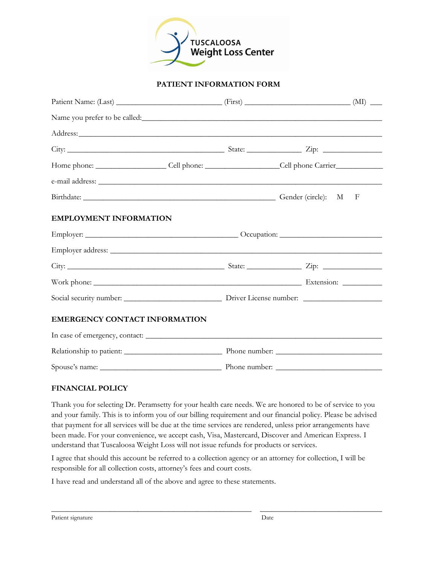

### **PATIENT INFORMATION FORM**

| Name you prefer to be called:                                                                                  |  |  |
|----------------------------------------------------------------------------------------------------------------|--|--|
|                                                                                                                |  |  |
|                                                                                                                |  |  |
| Home phone: _________________________Cell phone: ________________________Cell phone Carrier___________________ |  |  |
|                                                                                                                |  |  |
| Birthdate: Gender (circle): M F                                                                                |  |  |
| <b>EMPLOYMENT INFORMATION</b>                                                                                  |  |  |
|                                                                                                                |  |  |
|                                                                                                                |  |  |
|                                                                                                                |  |  |
|                                                                                                                |  |  |
|                                                                                                                |  |  |
| <b>EMERGENCY CONTACT INFORMATION</b>                                                                           |  |  |
|                                                                                                                |  |  |
|                                                                                                                |  |  |
|                                                                                                                |  |  |

#### **FINANCIAL POLICY**

Thank you for selecting Dr. Peramsetty for your health care needs. We are honored to be of service to you and your family. This is to inform you of our billing requirement and our financial policy. Please be advised that payment for all services will be due at the time services are rendered, unless prior arrangements have been made. For your convenience, we accept cash, Visa, Mastercard, Discover and American Express. I understand that Tuscaloosa Weight Loss will not issue refunds for products or services.

I agree that should this account be referred to a collection agency or an attorney for collection, I will be responsible for all collection costs, attorney's fees and court costs.

\_\_\_\_\_\_\_\_\_\_\_\_\_\_\_\_\_\_\_\_\_\_\_\_\_\_\_\_\_\_\_\_\_\_\_\_\_\_\_\_\_\_\_\_\_\_\_\_\_\_\_ \_\_\_\_\_\_\_\_\_\_\_\_\_\_\_\_\_\_\_\_\_\_\_\_\_\_\_\_\_\_\_

I have read and understand all of the above and agree to these statements.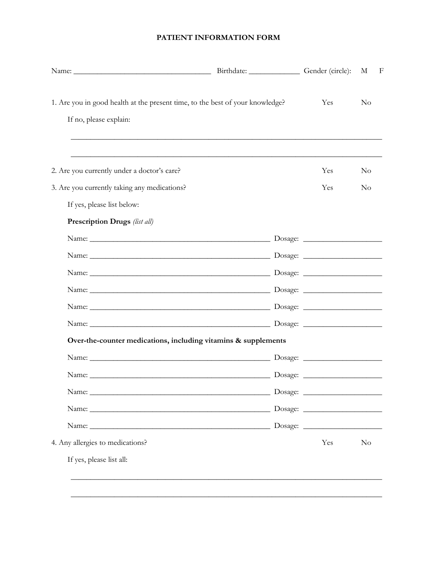## PATIENT INFORMATION FORM

|                                                                                                         | Birthdate: Gender (circle): |     | М        | F |
|---------------------------------------------------------------------------------------------------------|-----------------------------|-----|----------|---|
| 1. Are you in good health at the present time, to the best of your knowledge?<br>If no, please explain: |                             | Yes | $\rm No$ |   |
|                                                                                                         |                             |     |          |   |
| 2. Are you currently under a doctor's care?                                                             |                             | Yes | $\rm No$ |   |
| 3. Are you currently taking any medications?                                                            |                             | Yes | $\rm No$ |   |
| If yes, please list below:                                                                              |                             |     |          |   |
| Prescription Drugs (list all)                                                                           |                             |     |          |   |
|                                                                                                         |                             |     |          |   |
|                                                                                                         |                             |     |          |   |
|                                                                                                         |                             |     |          |   |
|                                                                                                         |                             |     |          |   |
|                                                                                                         |                             |     |          |   |
|                                                                                                         |                             |     |          |   |
| Over-the-counter medications, including vitamins & supplements                                          |                             |     |          |   |
|                                                                                                         |                             |     |          |   |
|                                                                                                         |                             |     |          |   |
|                                                                                                         |                             |     |          |   |
|                                                                                                         |                             |     |          |   |
|                                                                                                         |                             |     |          |   |
| 4. Any allergies to medications?                                                                        |                             | Yes | $\rm No$ |   |
| If yes, please list all:                                                                                |                             |     |          |   |
|                                                                                                         |                             |     |          |   |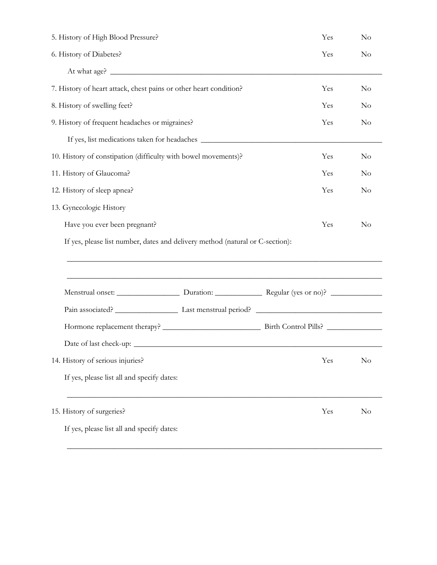| 5. History of High Blood Pressure?                                |                                                                                  | Yes      | $\rm No$ |
|-------------------------------------------------------------------|----------------------------------------------------------------------------------|----------|----------|
| 6. History of Diabetes?                                           | Yes                                                                              | $\rm No$ |          |
|                                                                   |                                                                                  |          |          |
| 7. History of heart attack, chest pains or other heart condition? |                                                                                  | Yes      | $\rm No$ |
| 8. History of swelling feet?                                      |                                                                                  | Yes      | $\rm No$ |
| 9. History of frequent headaches or migraines?                    | Yes                                                                              | $\rm No$ |          |
|                                                                   | If yes, list medications taken for headaches ___________________________________ |          |          |
| 10. History of constipation (difficulty with bowel movements)?    |                                                                                  | Yes      | $\rm No$ |
| 11. History of Glaucoma?                                          |                                                                                  | Yes      | $\rm No$ |
| 12. History of sleep apnea?                                       |                                                                                  | Yes      | $\rm No$ |
| 13. Gynecologic History                                           |                                                                                  |          |          |
| Have you ever been pregnant?                                      |                                                                                  | Yes      | $\rm No$ |
|                                                                   | If yes, please list number, dates and delivery method (natural or C-section):    |          |          |
|                                                                   |                                                                                  |          |          |
|                                                                   |                                                                                  |          |          |
|                                                                   |                                                                                  |          |          |
|                                                                   |                                                                                  |          |          |
|                                                                   |                                                                                  |          |          |
|                                                                   |                                                                                  |          |          |
|                                                                   |                                                                                  |          |          |
| 14. History of serious injuries?                                  |                                                                                  | Yes      | $\rm No$ |
| If yes, please list all and specify dates:                        |                                                                                  |          |          |
|                                                                   |                                                                                  |          |          |
| 15. History of surgeries?                                         |                                                                                  | Yes      | $\rm No$ |
| If yes, please list all and specify dates:                        |                                                                                  |          |          |

\_\_\_\_\_\_\_\_\_\_\_\_\_\_\_\_\_\_\_\_\_\_\_\_\_\_\_\_\_\_\_\_\_\_\_\_\_\_\_\_\_\_\_\_\_\_\_\_\_\_\_\_\_\_\_\_\_\_\_\_\_\_\_\_\_\_\_\_\_\_\_\_\_\_\_\_\_\_\_\_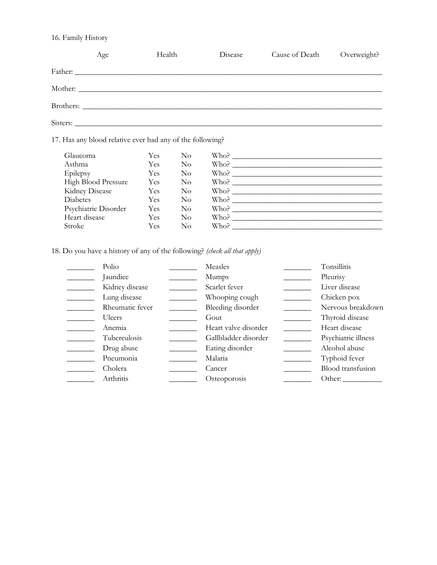## 16. Family History

|            | Age                                                       | Health |                           | Disease             | Cause of Death | Overweight? |
|------------|-----------------------------------------------------------|--------|---------------------------|---------------------|----------------|-------------|
|            | Father:                                                   |        |                           |                     |                |             |
|            |                                                           |        |                           |                     |                |             |
|            |                                                           |        |                           |                     |                |             |
|            |                                                           |        |                           |                     |                |             |
|            | 17. Has any blood relative ever had any of the following? |        |                           |                     |                |             |
| Glaucoma   |                                                           | Yes.   | N <sub>o</sub>            |                     |                |             |
| Asthma     |                                                           |        | Yes No                    |                     |                |             |
| $\Gamma$ 1 |                                                           |        | $\mathbf{V}$ $\mathbf{N}$ | $\mathbf{w}$ $\sim$ |                |             |

| Epilepsy             | Yes | No | Who? |  |
|----------------------|-----|----|------|--|
| High Blood Pressure  | Yes | No | Who? |  |
| Kidney Disease       | Yes | No | Who? |  |
| Diabetes             | Yes | No | Who? |  |
| Psychiatric Disorder | Yes | No | Who? |  |
| Heart disease        | Yes | No | Who? |  |
| Stroke               | Yes | No | Who? |  |

18. Do you have a history of any of the following? *(check all that apply)*

| Polio           | Measles              | Tonsillitis         |
|-----------------|----------------------|---------------------|
| Jaundice        | <b>Mumps</b>         | Pleurisy            |
| Kidney disease  | Scarlet fever        | Liver disease       |
| Lung disease    | Whooping cough       | Chicken pox         |
| Rheumatic fever | Bleeding disorder    | Nervous breakdown   |
| <b>Ulcers</b>   | Gout                 | Thyroid disease     |
| Anemia          | Heart valve disorder | Heart disease       |
| Tuberculosis    | Gallbladder disorder | Psychiatric illness |
| Drug abuse      | Eating disorder      | Alcohol abuse       |
| Pneumonia       | Malaria              | Typhoid fever       |
| Cholera         | Cancer               | Blood transfusion   |
| Arthritis       | Osteoporosis         | Other:              |
|                 |                      |                     |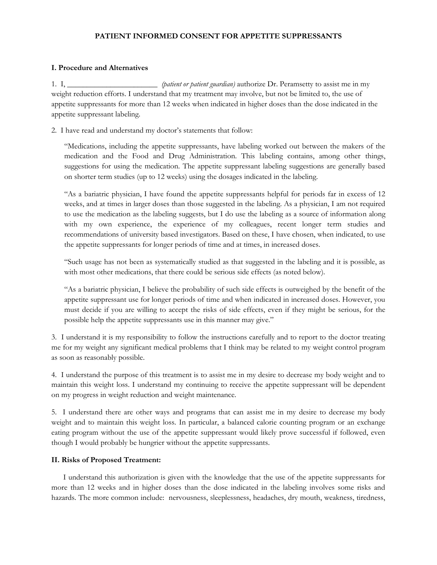#### **PATIENT INFORMED CONSENT FOR APPETITE SUPPRESSANTS**

#### **I. Procedure and Alternatives**

1. I, \_\_\_\_\_\_\_\_\_\_\_\_\_\_\_\_\_\_\_\_\_\_\_ *(patient or patient guardian)* authorize Dr. Peramsetty to assist me in my weight reduction efforts. I understand that my treatment may involve, but not be limited to, the use of appetite suppressants for more than 12 weeks when indicated in higher doses than the dose indicated in the appetite suppressant labeling.

2. I have read and understand my doctor's statements that follow:

"Medications, including the appetite suppressants, have labeling worked out between the makers of the medication and the Food and Drug Administration. This labeling contains, among other things, suggestions for using the medication. The appetite suppressant labeling suggestions are generally based on shorter term studies (up to 12 weeks) using the dosages indicated in the labeling.

"As a bariatric physician, I have found the appetite suppressants helpful for periods far in excess of 12 weeks, and at times in larger doses than those suggested in the labeling. As a physician, I am not required to use the medication as the labeling suggests, but I do use the labeling as a source of information along with my own experience, the experience of my colleagues, recent longer term studies and recommendations of university based investigators. Based on these, I have chosen, when indicated, to use the appetite suppressants for longer periods of time and at times, in increased doses.

"Such usage has not been as systematically studied as that suggested in the labeling and it is possible, as with most other medications, that there could be serious side effects (as noted below).

"As a bariatric physician, I believe the probability of such side effects is outweighed by the benefit of the appetite suppressant use for longer periods of time and when indicated in increased doses. However, you must decide if you are willing to accept the risks of side effects, even if they might be serious, for the possible help the appetite suppressants use in this manner may give."

3. I understand it is my responsibility to follow the instructions carefully and to report to the doctor treating me for my weight any significant medical problems that I think may be related to my weight control program as soon as reasonably possible.

4. I understand the purpose of this treatment is to assist me in my desire to decrease my body weight and to maintain this weight loss. I understand my continuing to receive the appetite suppressant will be dependent on my progress in weight reduction and weight maintenance.

5. I understand there are other ways and programs that can assist me in my desire to decrease my body weight and to maintain this weight loss. In particular, a balanced calorie counting program or an exchange eating program without the use of the appetite suppressant would likely prove successful if followed, even though I would probably be hungrier without the appetite suppressants.

#### **II. Risks of Proposed Treatment:**

 I understand this authorization is given with the knowledge that the use of the appetite suppressants for more than 12 weeks and in higher doses than the dose indicated in the labeling involves some risks and hazards. The more common include: nervousness, sleeplessness, headaches, dry mouth, weakness, tiredness,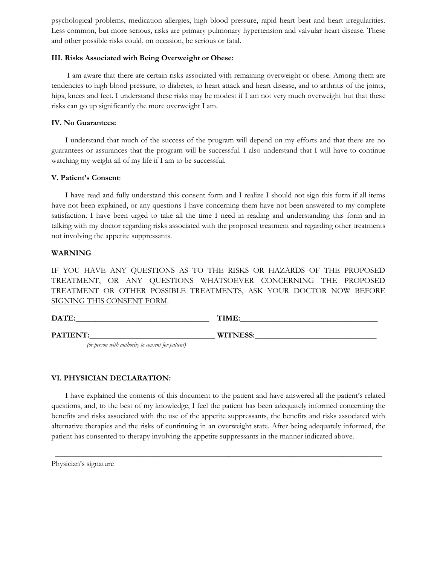psychological problems, medication allergies, high blood pressure, rapid heart beat and heart irregularities. Less common, but more serious, risks are primary pulmonary hypertension and valvular heart disease. These and other possible risks could, on occasion, be serious or fatal.

#### **III. Risks Associated with Being Overweight or Obese:**

 I am aware that there are certain risks associated with remaining overweight or obese. Among them are tendencies to high blood pressure, to diabetes, to heart attack and heart disease, and to arthritis of the joints, hips, knees and feet. I understand these risks may be modest if I am not very much overweight but that these risks can go up significantly the more overweight I am.

#### **IV. No Guarantees:**

 I understand that much of the success of the program will depend on my efforts and that there are no guarantees or assurances that the program will be successful. I also understand that I will have to continue watching my weight all of my life if I am to be successful.

#### **V. Patient's Consent**:

 I have read and fully understand this consent form and I realize I should not sign this form if all items have not been explained, or any questions I have concerning them have not been answered to my complete satisfaction. I have been urged to take all the time I need in reading and understanding this form and in talking with my doctor regarding risks associated with the proposed treatment and regarding other treatments not involving the appetite suppressants.

#### **WARNING**

IF YOU HAVE ANY QUESTIONS AS TO THE RISKS OR HAZARDS OF THE PROPOSED TREATMENT, OR ANY QUESTIONS WHATSOEVER CONCERNING THE PROPOSED TREATMENT OR OTHER POSSIBLE TREATMENTS, ASK YOUR DOCTOR NOW BEFORE SIGNING THIS CONSENT FORM.

| DATE:    | TIME:           |
|----------|-----------------|
| PATIENT: | <b>WITNESS:</b> |

*(or person with authority to consent for patient)*

#### **VI. PHYSICIAN DECLARATION:**

 I have explained the contents of this document to the patient and have answered all the patient's related questions, and, to the best of my knowledge, I feel the patient has been adequately informed concerning the benefits and risks associated with the use of the appetite suppressants, the benefits and risks associated with alternative therapies and the risks of continuing in an overweight state. After being adequately informed, the patient has consented to therapy involving the appetite suppressants in the manner indicated above.

\_\_\_\_\_\_\_\_\_\_\_\_\_\_\_\_\_\_\_\_\_\_\_\_\_\_\_\_\_\_\_\_\_\_\_\_\_\_\_\_\_\_\_\_\_\_\_\_\_\_\_\_\_\_\_\_\_\_\_\_\_\_\_\_\_\_\_\_\_\_\_\_\_\_\_\_\_\_\_\_\_\_\_

Physician's signature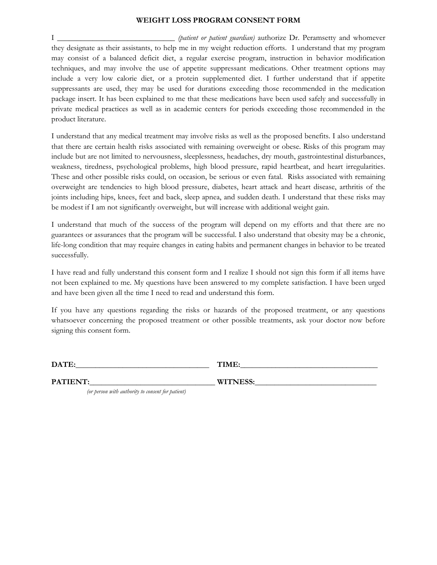#### **WEIGHT LOSS PROGRAM CONSENT FORM**

I \_\_\_\_\_\_\_\_\_\_\_\_\_\_\_\_\_\_\_\_\_\_\_\_\_\_\_\_\_\_ *(patient or patient guardian)* authorize Dr. Peramsetty and whomever they designate as their assistants, to help me in my weight reduction efforts. I understand that my program may consist of a balanced deficit diet, a regular exercise program, instruction in behavior modification techniques, and may involve the use of appetite suppressant medications. Other treatment options may include a very low calorie diet, or a protein supplemented diet. I further understand that if appetite suppressants are used, they may be used for durations exceeding those recommended in the medication package insert. It has been explained to me that these medications have been used safely and successfully in private medical practices as well as in academic centers for periods exceeding those recommended in the product literature.

I understand that any medical treatment may involve risks as well as the proposed benefits. I also understand that there are certain health risks associated with remaining overweight or obese. Risks of this program may include but are not limited to nervousness, sleeplessness, headaches, dry mouth, gastrointestinal disturbances, weakness, tiredness, psychological problems, high blood pressure, rapid heartbeat, and heart irregularities. These and other possible risks could, on occasion, be serious or even fatal. Risks associated with remaining overweight are tendencies to high blood pressure, diabetes, heart attack and heart disease, arthritis of the joints including hips, knees, feet and back, sleep apnea, and sudden death. I understand that these risks may be modest if I am not significantly overweight, but will increase with additional weight gain.

I understand that much of the success of the program will depend on my efforts and that there are no guarantees or assurances that the program will be successful. I also understand that obesity may be a chronic, life-long condition that may require changes in eating habits and permanent changes in behavior to be treated successfully.

I have read and fully understand this consent form and I realize I should not sign this form if all items have not been explained to me. My questions have been answered to my complete satisfaction. I have been urged and have been given all the time I need to read and understand this form.

If you have any questions regarding the risks or hazards of the proposed treatment, or any questions whatsoever concerning the proposed treatment or other possible treatments, ask your doctor now before signing this consent form.

**DATE:** TIME:

**PATIENT:\_\_\_\_\_\_\_\_\_\_\_\_\_\_\_\_\_\_\_\_\_\_\_\_\_\_\_\_\_\_\_\_ WITNESS:\_\_\_\_\_\_\_\_\_\_\_\_\_\_\_\_\_\_\_\_\_\_\_\_\_\_\_\_\_\_\_**

*(or person with authority to consent for patient)*